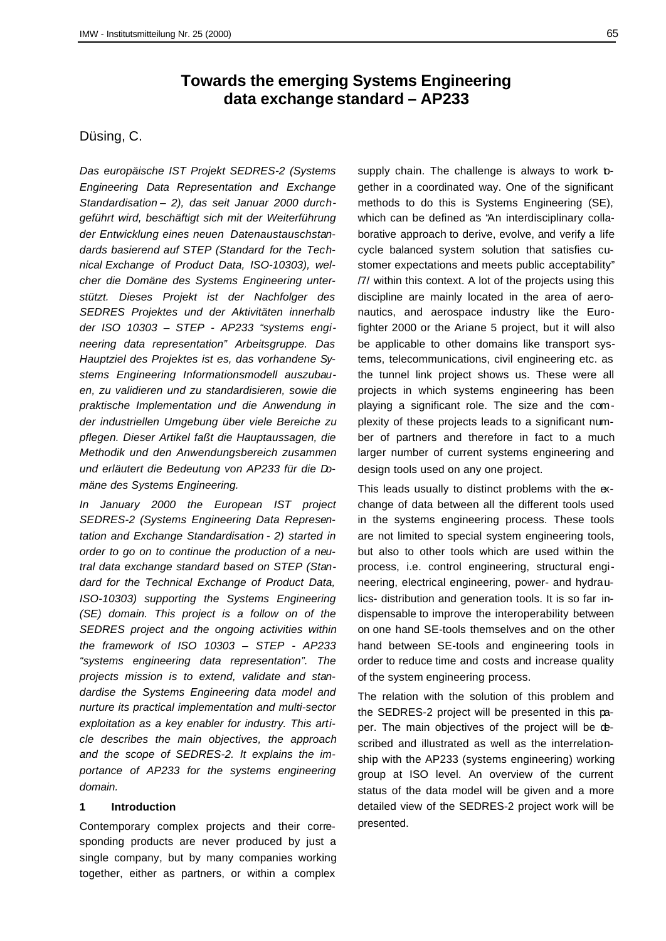# **Towards the emerging Systems Engineering data exchange standard – AP233**

## Düsing, C.

*Das europäische IST Projekt SEDRES-2 (Systems Engineering Data Representation and Exchange Standardisation – 2), das seit Januar 2000 durchgeführt wird, beschäftigt sich mit der Weiterführung der Entwicklung eines neuen Datenaustauschstandards basierend auf STEP (Standard for the Technical Exchange of Product Data, ISO-10303), welcher die Domäne des Systems Engineering unterstützt. Dieses Projekt ist der Nachfolger des SEDRES Projektes und der Aktivitäten innerhalb der ISO 10303 – STEP - AP233 "systems engineering data representation" Arbeitsgruppe. Das Hauptziel des Projektes ist es, das vorhandene Systems Engineering Informationsmodell auszubauen, zu validieren und zu standardisieren, sowie die praktische Implementation und die Anwendung in der industriellen Umgebung über viele Bereiche zu pflegen. Dieser Artikel faßt die Hauptaussagen, die Methodik und den Anwendungsbereich zusammen und erläutert die Bedeutung von AP233 für die Domäne des Systems Engineering.*

*In January 2000 the European IST project SEDRES-2 (Systems Engineering Data Representation and Exchange Standardisation - 2) started in order to go on to continue the production of a neutral data exchange standard based on STEP (Standard for the Technical Exchange of Product Data, ISO-10303) supporting the Systems Engineering (SE) domain. This project is a follow on of the SEDRES project and the ongoing activities within the framework of ISO 10303 – STEP - AP233 "systems engineering data representation". The projects mission is to extend, validate and standardise the Systems Engineering data model and nurture its practical implementation and multi-sector exploitation as a key enabler for industry. This article describes the main objectives, the approach and the scope of SEDRES-2. It explains the importance of AP233 for the systems engineering domain.*

### **1 Introduction**

Contemporary complex projects and their corresponding products are never produced by just a single company, but by many companies working together, either as partners, or within a complex

supply chain. The challenge is always to work bgether in a coordinated way. One of the significant methods to do this is Systems Engineering (SE), which can be defined as "An interdisciplinary collaborative approach to derive, evolve, and verify a life cycle balanced system solution that satisfies customer expectations and meets public acceptability" /7/ within this context. A lot of the projects using this discipline are mainly located in the area of aeronautics, and aerospace industry like the Eurofighter 2000 or the Ariane 5 project, but it will also be applicable to other domains like transport systems, telecommunications, civil engineering etc. as the tunnel link project shows us. These were all projects in which systems engineering has been playing a significant role. The size and the complexity of these projects leads to a significant number of partners and therefore in fact to a much larger number of current systems engineering and design tools used on any one project.

This leads usually to distinct problems with the exchange of data between all the different tools used in the systems engineering process. These tools are not limited to special system engineering tools, but also to other tools which are used within the process, i.e. control engineering, structural engineering, electrical engineering, power- and hydraulics- distribution and generation tools. It is so far indispensable to improve the interoperability between on one hand SE-tools themselves and on the other hand between SE-tools and engineering tools in order to reduce time and costs and increase quality of the system engineering process.

The relation with the solution of this problem and the SEDRES-2 project will be presented in this paper. The main objectives of the project will be described and illustrated as well as the interrelationship with the AP233 (systems engineering) working group at ISO level. An overview of the current status of the data model will be given and a more detailed view of the SEDRES-2 project work will be presented.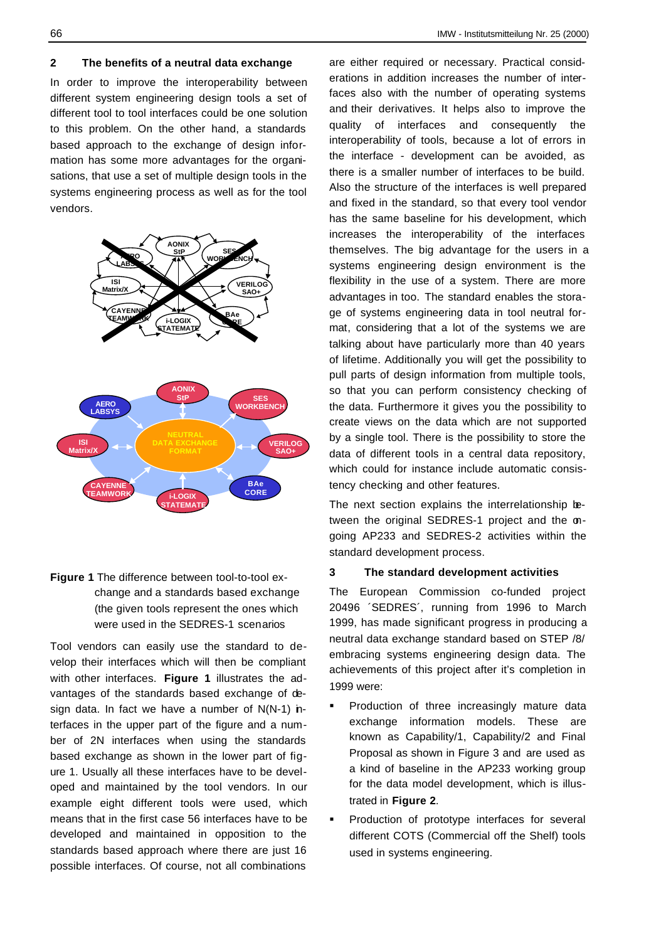#### **2 The benefits of a neutral data exchange**

In order to improve the interoperability between different system engineering design tools a set of different tool to tool interfaces could be one solution to this problem. On the other hand, a standards based approach to the exchange of design information has some more advantages for the organisations, that use a set of multiple design tools in the systems engineering process as well as for the tool vendors.



## **Figure 1** The difference between tool-to-tool exchange and a standards based exchange (the given tools represent the ones which were used in the SEDRES-1 scenarios

Tool vendors can easily use the standard to develop their interfaces which will then be compliant with other interfaces. **Figure 1** illustrates the advantages of the standards based exchange of design data. In fact we have a number of  $N(N-1)$  interfaces in the upper part of the figure and a number of 2N interfaces when using the standards based exchange as shown in the lower part of figure 1. Usually all these interfaces have to be developed and maintained by the tool vendors. In our example eight different tools were used, which means that in the first case 56 interfaces have to be developed and maintained in opposition to the standards based approach where there are just 16 possible interfaces. Of course, not all combinations

are either required or necessary. Practical considerations in addition increases the number of interfaces also with the number of operating systems and their derivatives. It helps also to improve the quality of interfaces and consequently the interoperability of tools, because a lot of errors in the interface - development can be avoided, as there is a smaller number of interfaces to be build. Also the structure of the interfaces is well prepared and fixed in the standard, so that every tool vendor has the same baseline for his development, which increases the interoperability of the interfaces themselves. The big advantage for the users in a systems engineering design environment is the flexibility in the use of a system. There are more advantages in too. The standard enables the storage of systems engineering data in tool neutral format, considering that a lot of the systems we are talking about have particularly more than 40 years of lifetime. Additionally you will get the possibility to pull parts of design information from multiple tools, so that you can perform consistency checking of the data. Furthermore it gives you the possibility to create views on the data which are not supported by a single tool. There is the possibility to store the data of different tools in a central data repository, which could for instance include automatic consistency checking and other features.

The next section explains the interrelationship between the original SEDRES-1 project and the ongoing AP233 and SEDRES-2 activities within the standard development process.

## **3 The standard development activities**

The European Commission co-funded project 20496 ´SEDRES´, running from 1996 to March 1999, has made significant progress in producing a neutral data exchange standard based on STEP /8/ embracing systems engineering design data. The achievements of this project after it's completion in 1999 were:

- Production of three increasingly mature data exchange information models. These are known as Capability/1, Capability/2 and Final Proposal as shown in Figure 3 and are used as a kind of baseline in the AP233 working group for the data model development, which is illustrated in **Figure 2**.
- ß Production of prototype interfaces for several different COTS (Commercial off the Shelf) tools used in systems engineering.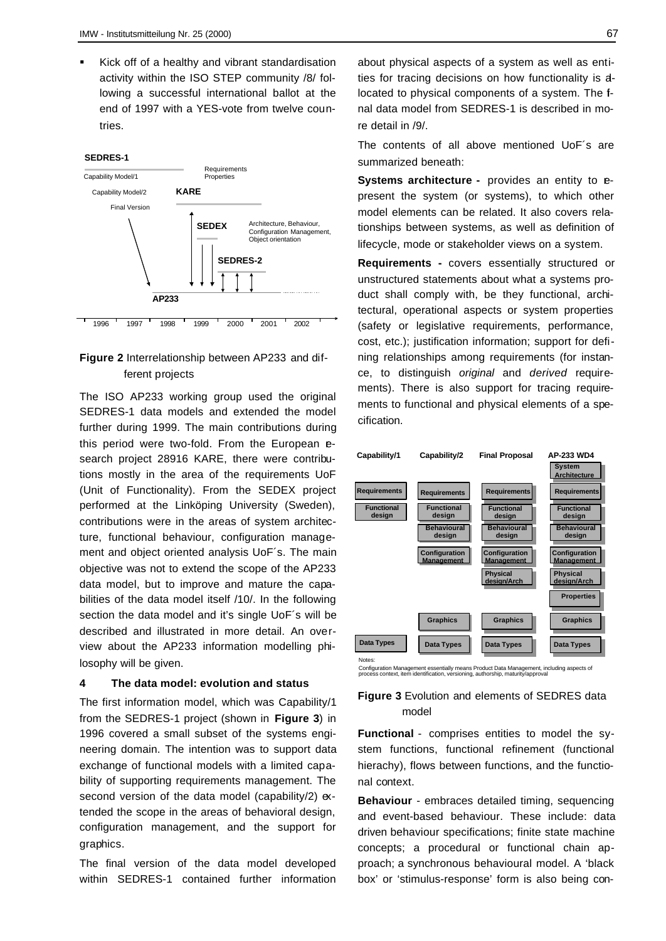Kick off of a healthy and vibrant standardisation activity within the ISO STEP community /8/ following a successful international ballot at the end of 1997 with a YES-vote from twelve countries.

#### **SEDRES-1**



## **Figure 2** Interrelationship between AP233 and different projects

The ISO AP233 working group used the original SEDRES-1 data models and extended the model further during 1999. The main contributions during this period were two-fold. From the European esearch project 28916 KARE, there were contributions mostly in the area of the requirements UoF (Unit of Functionality). From the SEDEX project performed at the Linköping University (Sweden), contributions were in the areas of system architecture, functional behaviour, configuration management and object oriented analysis UoF´s. The main objective was not to extend the scope of the AP233 data model, but to improve and mature the capabilities of the data model itself /10/. In the following section the data model and it's single UoF's will be described and illustrated in more detail. An overview about the AP233 information modelling philosophy will be given.

#### **4 The data model: evolution and status**

The first information model, which was Capability/1 from the SEDRES-1 project (shown in **Figure 3**) in 1996 covered a small subset of the systems engineering domain. The intention was to support data exchange of functional models with a limited capability of supporting requirements management. The second version of the data model (capability/2)  $ex$ tended the scope in the areas of behavioral design, configuration management, and the support for graphics.

The final version of the data model developed within SEDRES-1 contained further information about physical aspects of a system as well as entities for tracing decisions on how functionality is allocated to physical components of a system. The final data model from SEDRES-1 is described in more detail in /9/.

The contents of all above mentioned UoF´s are summarized beneath:

**Systems architecture -** provides an entity to epresent the system (or systems), to which other model elements can be related. It also covers relationships between systems, as well as definition of lifecycle, mode or stakeholder views on a system.

**Requirements -** covers essentially structured or unstructured statements about what a systems product shall comply with, be they functional, architectural, operational aspects or system properties (safety or legislative requirements, performance, cost, etc.); justification information; support for defining relationships among requirements (for instance, to distinguish *original* and *derived* requirements). There is also support for tracing requirements to functional and physical elements of a specification.



Configuration Management essentially means Product Data Management, including aspects of process context, item identification, versioning, authorship, maturity/approval

### **Figure 3** Evolution and elements of SEDRES data model

**Functional** - comprises entities to model the system functions, functional refinement (functional hierachy), flows between functions, and the functional context.

**Behaviour** - embraces detailed timing, sequencing and event-based behaviour. These include: data driven behaviour specifications; finite state machine concepts; a procedural or functional chain approach; a synchronous behavioural model. A 'black box' or 'stimulus-response' form is also being con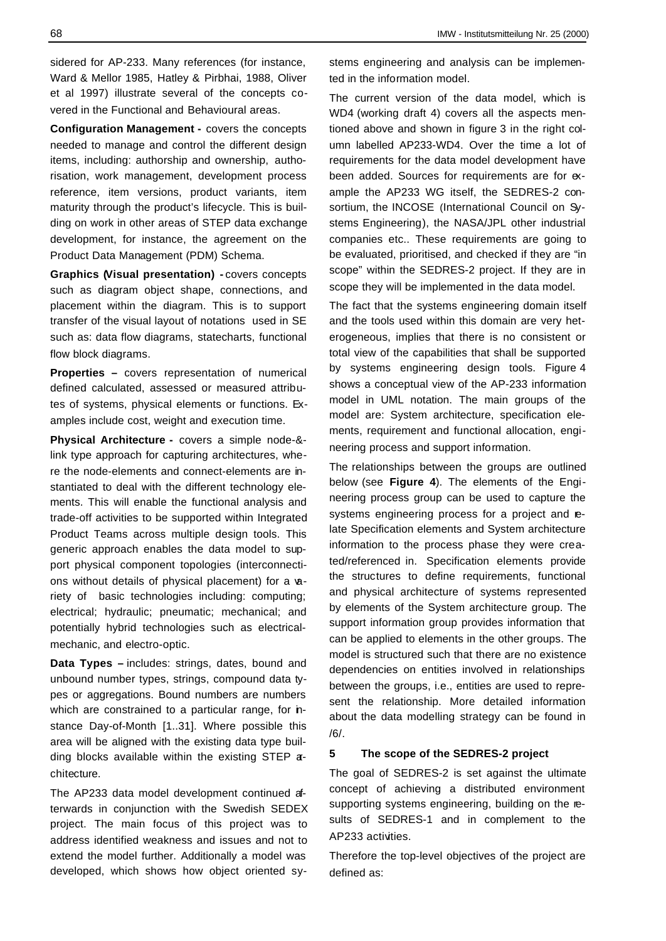sidered for AP-233. Many references (for instance, Ward & Mellor 1985, Hatley & Pirbhai, 1988, Oliver et al 1997) illustrate several of the concepts covered in the Functional and Behavioural areas.

**Configuration Management -** covers the concepts needed to manage and control the different design items, including: authorship and ownership, authorisation, work management, development process reference, item versions, product variants, item maturity through the product's lifecycle. This is building on work in other areas of STEP data exchange development, for instance, the agreement on the Product Data Management (PDM) Schema.

**Graphics (Visual presentation) -** covers concepts such as diagram object shape, connections, and placement within the diagram. This is to support transfer of the visual layout of notations used in SE such as: data flow diagrams, statecharts, functional flow block diagrams.

**Properties –** covers representation of numerical defined calculated, assessed or measured attributes of systems, physical elements or functions. Examples include cost, weight and execution time.

**Physical Architecture -** covers a simple node-& link type approach for capturing architectures, where the node-elements and connect-elements are instantiated to deal with the different technology elements. This will enable the functional analysis and trade-off activities to be supported within Integrated Product Teams across multiple design tools. This generic approach enables the data model to support physical component topologies (interconnections without details of physical placement) for a variety of basic technologies including: computing; electrical; hydraulic; pneumatic; mechanical; and potentially hybrid technologies such as electricalmechanic, and electro-optic.

**Data Types –** includes: strings, dates, bound and unbound number types, strings, compound data types or aggregations. Bound numbers are numbers which are constrained to a particular range, for *n*stance Day-of-Month [1..31]. Where possible this area will be aligned with the existing data type building blocks available within the existing STEP architecture.

The AP233 data model development continued afterwards in conjunction with the Swedish SEDEX project. The main focus of this project was to address identified weakness and issues and not to extend the model further. Additionally a model was developed, which shows how object oriented systems engineering and analysis can be implemented in the information model.

The current version of the data model, which is WD4 (working draft 4) covers all the aspects mentioned above and shown in figure 3 in the right column labelled AP233-WD4. Over the time a lot of requirements for the data model development have been added. Sources for requirements are for example the AP233 WG itself, the SEDRES-2 consortium, the INCOSE (International Council on Systems Engineering), the NASA/JPL other industrial companies etc.. These requirements are going to be evaluated, prioritised, and checked if they are "in scope" within the SEDRES-2 project. If they are in scope they will be implemented in the data model.

The fact that the systems engineering domain itself and the tools used within this domain are very heterogeneous, implies that there is no consistent or total view of the capabilities that shall be supported by systems engineering design tools. Figure 4 shows a conceptual view of the AP-233 information model in UML notation. The main groups of the model are: System architecture, specification elements, requirement and functional allocation, engineering process and support information.

The relationships between the groups are outlined below (see **Figure 4**). The elements of the Engineering process group can be used to capture the systems engineering process for a project and relate Specification elements and System architecture information to the process phase they were created/referenced in. Specification elements provide the structures to define requirements, functional and physical architecture of systems represented by elements of the System architecture group. The support information group provides information that can be applied to elements in the other groups. The model is structured such that there are no existence dependencies on entities involved in relationships between the groups, i.e., entities are used to represent the relationship. More detailed information about the data modelling strategy can be found in /6/.

## **5 The scope of the SEDRES-2 project**

The goal of SEDRES-2 is set against the ultimate concept of achieving a distributed environment supporting systems engineering, building on the results of SEDRES-1 and in complement to the AP233 activities.

Therefore the top-level objectives of the project are defined as: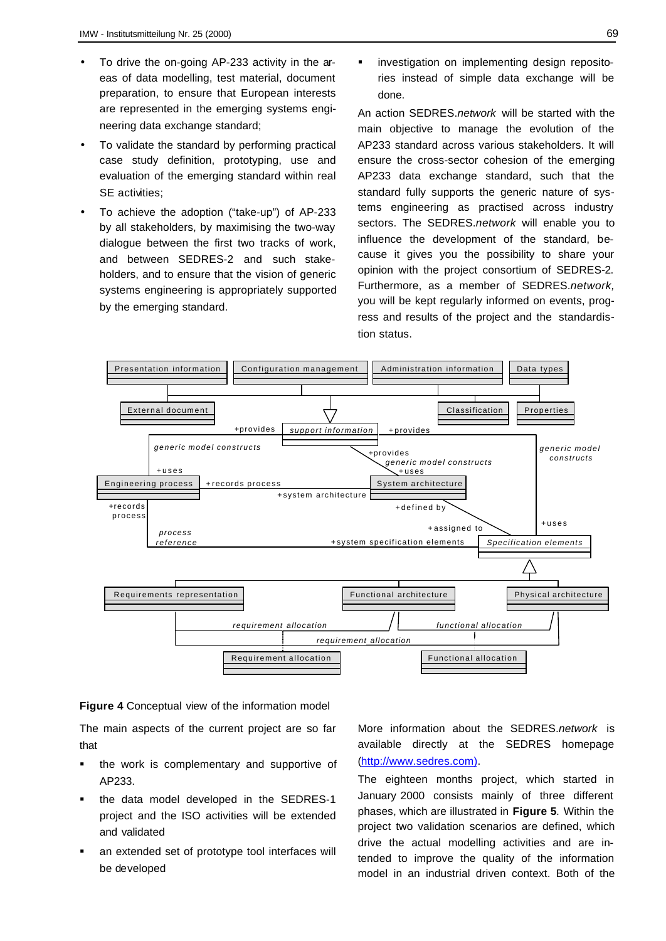- To drive the on-going AP-233 activity in the areas of data modelling, test material, document preparation, to ensure that European interests are represented in the emerging systems engineering data exchange standard;
- To validate the standard by performing practical case study definition, prototyping, use and evaluation of the emerging standard within real SE activities:
- To achieve the adoption ("take-up") of AP-233 by all stakeholders, by maximising the two-way dialogue between the first two tracks of work, and between SEDRES-2 and such stakeholders, and to ensure that the vision of generic systems engineering is appropriately supported by the emerging standard.

ß investigation on implementing design repositories instead of simple data exchange will be done.

An action SEDRES.*network* will be started with the main objective to manage the evolution of the AP233 standard across various stakeholders. It will ensure the cross-sector cohesion of the emerging AP233 data exchange standard, such that the standard fully supports the generic nature of systems engineering as practised across industry sectors. The SEDRES.*network* will enable you to influence the development of the standard, because it gives you the possibility to share your opinion with the project consortium of SEDRES-2. Furthermore, as a member of SEDRES.*network,* you will be kept regularly informed on events, progress and results of the project and the standardistion status.



**Figure 4** Conceptual view of the information model

The main aspects of the current project are so far that

- the work is complementary and supportive of AP233.
- ß the data model developed in the SEDRES-1 project and the ISO activities will be extended and validated
- ß an extended set of prototype tool interfaces will be developed

More information about the SEDRES.*network* is available directly at the SEDRES homepage (http://www.sedres.com).

The eighteen months project, which started in January 2000 consists mainly of three different phases, which are illustrated in **Figure 5**. Within the project two validation scenarios are defined, which drive the actual modelling activities and are intended to improve the quality of the information model in an industrial driven context. Both of the